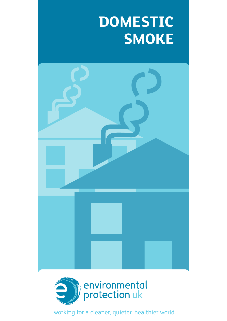# **DOMESTIC SMOKE**





working for a cleaner, quieter, healthier world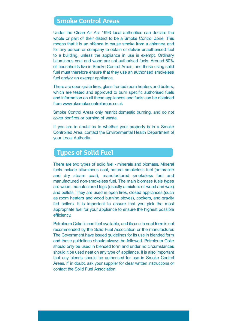### **Smoke Control Areas**

Under the Clean Air Act 1993 local authorities can declare the whole or part of their district to be a Smoke Control Zone. This means that it is an offence to cause smoke from a chimney, and for any person or company to obtain or deliver unauthorised fuel to a building, unless the appliance in use is exempt. Ordinary bituminous coal and wood are not authorised fuels. Around 50% of households live in Smoke Control Areas, and those using solid fuel must therefore ensure that they use an authorised smokeless fuel and/or an exempt appliance.

There are open grate fires, glass fronted room heaters and boilers, which are tested and approved to burn specific authorised fuels and information on all these appliances and fuels can be obtained from www.uksmokecontrolareas.co.uk

Smoke Control Areas only restrict domestic burning, and do not cover bonfires or burning of waste.

If you are in doubt as to whether your property is in a Smoke Controlled Area, contact the Environmental Health Department of your Local Authority.

#### **Types of Solid Fuel**

There are two types of solid fuel - minerals and biomass. Mineral fuels include bituminous coal, natural smokeless fuel (anthracite and dry steam coal), manufactured smokeless fuel and manufactured non-smokeless fuel. The main biomass fuels types are wood, manufactured logs (usually a mixture of wood and wax) and pellets. They are used in open fires, closed appliances (such as room heaters and wood burning stoves), cookers, and gravity fed boilers. It is important to ensure that you pick the most appropriate fuel for your appliance to ensure the highest possible efficiency.

Petroleum Coke is one fuel available, and its use in neat form is not recommended by the Solid Fuel Association or the manufacturer. The Government have issued guidelines for its use in blended form and these guidelines should always be followed. Petroleum Coke should only be used in blended form and under no circumstances should it be used neat on any type of appliance. It is also important that any blends should be authorised for use in Smoke Control Areas. If in doubt, ask your supplier for clear written instructions or contact the Solid Fuel Association.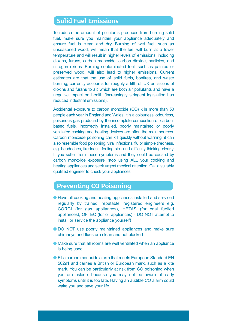# **Solid Fuel Emissions**

To reduce the amount of pollutants produced from burning solid fuel, make sure you maintain your appliance adequately and ensure fuel is clean and dry. Burning of wet fuel, such as unseasoned wood, will mean that the fuel will burn at a lower temperature and will result in higher levels of emissions, including dioxins, furans, carbon monoxide, carbon dioxide, particles, and nitrogen oxides. Burning contaminated fuel, such as painted or preserved wood, will also lead to higher emissions. Current estimates are that the use of solid fuels, bonfires, and waste burning, currently accounts for roughly a fifth of UK emissions of dioxins and furans to air, which are both air pollutants and have a negative impact on health (increasingly stringent legislation has reduced industrial emissions).

Accidental exposure to carbon monoxide (CO) kills more than 50 people each year in England and Wales. It is a colourless, odourless, poisonous gas produced by the incomplete combustion of carbonbased fuels. Incorrectly installed, poorly maintained or poorly ventilated cooking and heating devices are often the main sources. Carbon monoxide poisoning can kill quickly without warning, it can also resemble food poisoning, viral infections, flu or simple tiredness, e.g. headaches, tiredness, feeling sick and difficulty thinking clearly. If you suffer from these symptoms and they could be caused by carbon monoxide exposure, stop using ALL your cooking and heating appliances and seek urgent medical attention. Call a suitably qualified engineer to check your appliances.

### **Preventing CO Poisoning**

- Have all cooking and heating appliances installed and serviced regularly by trained, reputable, registered engineers e.g. CORGI (for gas appliances), HETAS (for coal fuelled appliances), OFTEC (for oil appliances) - DO NOT attempt to install or service the appliance yourself!
- DO NOT use poorly maintained appliances and make sure chimneys and flues are clean and not blocked.
- Make sure that all rooms are well ventilated when an appliance is being used.
- Fit a carbon monoxide alarm that meets European Standard EN 50291 and carries a British or European mark, such as a kite mark. You can be particularly at risk from CO poisoning when you are asleep, because you may not be aware of early symptoms until it is too late. Having an audible CO alarm could wake you and save your life.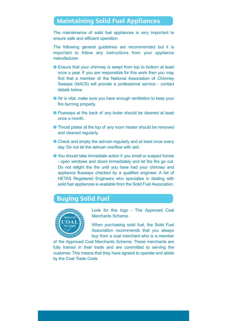# **Maintaining Solid Fuel Appliances**

The maintenance of solid fuel appliances is very important to ensure safe and efficient operation.

The following general guidelines are recommended but it is important to follow any instructions from your appliance manufacturer.

- Ensure that your chimney is swept from top to bottom at least once a year. If you are responsible for this work then you may find that a member of the National Association of Chimney Sweeps (NACS) will provide a professional service - contact details below.
- Air is vital, make sure you have enough ventilation to keep your fire burning properly.
- Flueways at the back of any boiler should be cleaned at least once a month.
- Throat plates at the top of any room heater should be removed and cleaned regularly.
- Check and empty the ashcan regularly and at least once every day. Do not let the ashcan overflow with ash.
- You should take immediate action if you smell or suspect fumes - open windows and doors immediately and let the fire go out. Do not relight the fire until you have had your chimney and appliance flueways checked by a qualified engineer. A list of HETAS Registered Engineers who specialise in dealing with solid fuel appliances is available from the Solid Fuel Association.

# **Buying Solid Fuel**



Look for this logo - The Approved Coal Merchants Scheme.

When purchasing solid fuel, the Solid Fuel Association recommends that you always buy from a coal merchant who is a member

of the Approved Coal Merchants Scheme. These merchants are fully trained in their trade and are committed to serving the customer. This means that they have agreed to operate and abide by the Coal Trade Code.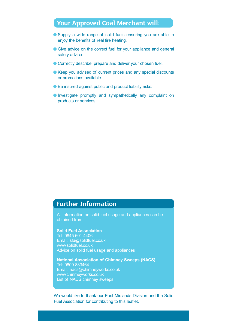## Your Approved Coal Merchant will:

- Supply a wide range of solid fuels ensuring you are able to enjoy the benefits of real fire heating.
- Give advice on the correct fuel for your appliance and general safety advice.
- Correctly describe, prepare and deliver your chosen fuel.
- Keep you advised of current prices and any special discounts or promotions available.
- Be insured against public and product liability risks.
- Investigate promptly and sympathetically any complaint on products or services

### **Further Information**

All information on solid fuel usage and appliances can be obtained from:

#### **Solid Fuel Association**

Tel: 0845 601 4406 Email: sfa@solidfuel.co.uk www.solidfuel.co.uk Advice on solid fuel usage and appliances

**National Association of Chimney Sweeps (NACS)** Tel: 0800 833464 Email: nacs@chimneyworks.co.uk www.chinmeyworks.co.uk List of NACS chimney sweeps

We would like to thank our East Midlands Division and the Solid Fuel Association for contributing to this leaflet.